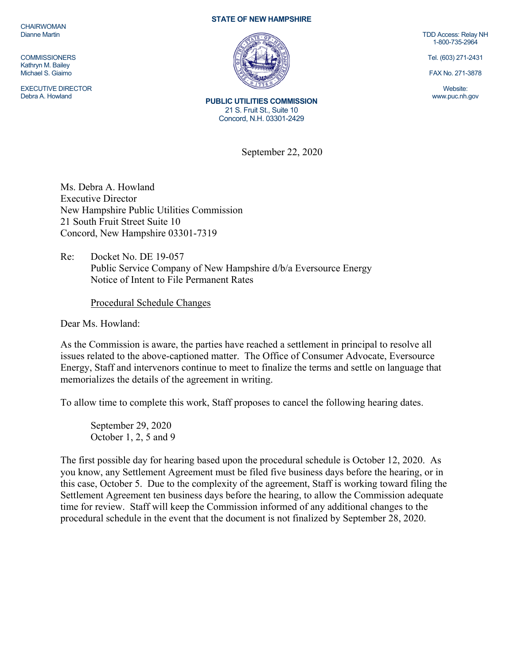**CHAIRWOMAN** Dianne Martin

**COMMISSIONERS** Kathryn M. Bailey Michael S. Giaimo

EXECUTIVE DIRECTOR Debra A. Howland

## **STATE OF NEW HAMPSHIRE**



**PUBLIC UTILITIES COMMISSION**  21 S. Fruit St., Suite 10 Concord, N.H. 03301-2429

September 22, 2020

Ms. Debra A. Howland Executive Director New Hampshire Public Utilities Commission 21 South Fruit Street Suite 10 Concord, New Hampshire 03301-7319

Re: Docket No. DE 19-057 Public Service Company of New Hampshire d/b/a Eversource Energy Notice of Intent to File Permanent Rates

Procedural Schedule Changes

Dear Ms. Howland:

As the Commission is aware, the parties have reached a settlement in principal to resolve all issues related to the above-captioned matter. The Office of Consumer Advocate, Eversource Energy, Staff and intervenors continue to meet to finalize the terms and settle on language that memorializes the details of the agreement in writing.

To allow time to complete this work, Staff proposes to cancel the following hearing dates.

September 29, 2020 October 1, 2, 5 and 9

The first possible day for hearing based upon the procedural schedule is October 12, 2020. As you know, any Settlement Agreement must be filed five business days before the hearing, or in this case, October 5. Due to the complexity of the agreement, Staff is working toward filing the Settlement Agreement ten business days before the hearing, to allow the Commission adequate time for review. Staff will keep the Commission informed of any additional changes to the procedural schedule in the event that the document is not finalized by September 28, 2020.

TDD Access: Relay NH 1-800-735-2964

Tel. (603) 271-2431

FAX No. 271-3878

Website: www.puc.nh.gov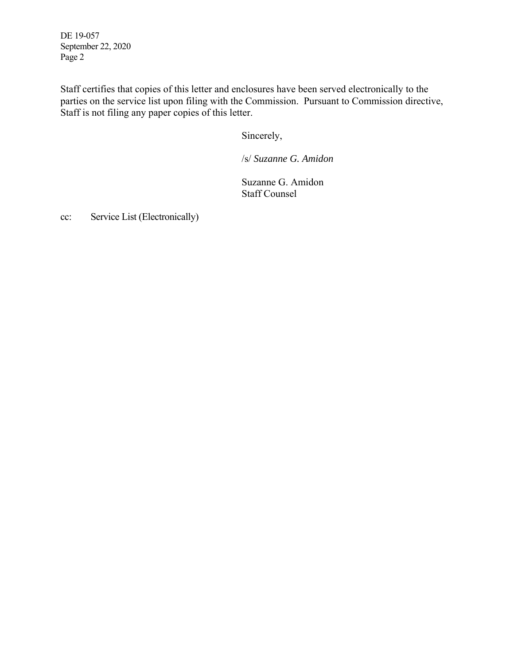DE 19-057 September 22, 2020 Page 2

Staff certifies that copies of this letter and enclosures have been served electronically to the parties on the service list upon filing with the Commission. Pursuant to Commission directive, Staff is not filing any paper copies of this letter.

Sincerely,

/s/ *Suzanne G. Amidon* 

Suzanne G. Amidon Staff Counsel

cc: Service List (Electronically)